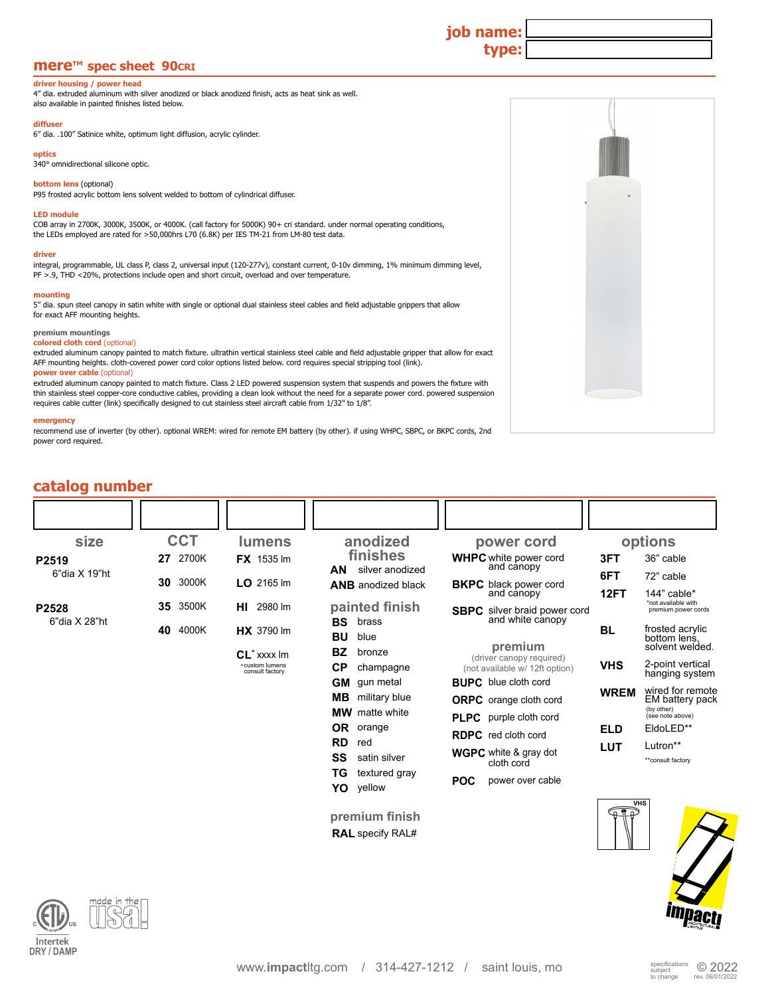# **mere™ spec sheet 90cri <u>with the state of the state of the state of the state of the state of the state of the state of the state of the state of the state of the state of the state of the state of the state of the sta**</u>

#### **driver housing / power head**

4" dia. extruded aluminum with silver anodized or black anodized finish, acts as heat sink as well. also available in painted finishes listed below.

## **diffuser**

6" dia. .100" Satinice white, optimum light diffusion, acrylic cylinder.

#### **optics**

340° omnidirectional silicone optic.

#### **bottom lens (optional)**

P95 frosted acrylic bottom lens solvent welded to bottom of cylindrical diffuser.

#### **LED module**

COB array in 2700K, 3000K, 3500K, or 4000K. (call factory for 5000K) 90+ cri standard. under normal operating conditions, the LEDs employed are rated for >50,000hrs L70 (6.8K) per IES TM-21 from LM-80 test data.

#### **driver**

integral, programmable, UL class P, class 2, universal input (120-277v), constant current, 0-10v dimming, 1% minimum dimming level, PF >.9, THD <20%, protections include open and short circuit, overload and over temperature.

#### **mounting**

5" dia. spun steel canopy in satin white with single or optional dual stainless steel cables and field adjustable grippers that allow for exact AFF mounting heights.

### **premium mountings**

**colored cloth cord** (optional) extruded aluminum canopy painted to match fixture. ultrathin vertical stainless steel cable and field adjustable gripper that allow for exact AFF mounting heights. cloth-covered power cord color options listed below. cord requires special stripping tool (link).

#### **power over cable (optional)**

extruded aluminum canopy painted to match fixture. Class 2 LED powered suspension system that suspends and powers the fixture with thin stainless steel copper-core conductive cables, providing a clean look without the need for a separate power cord. powered suspension<br>requires cable cutter (link) specifically designed to cut stainless steel aircraft c

#### **emergency**

recommend use of inverter (by other). optional WREM: wired for remote EM battery (by other). if using WHPC, SBPC, or BKPC cords, 2nd power cord required.

| catalog number                          |             |                                                     |                                            |                                                                |                          |                                                    |
|-----------------------------------------|-------------|-----------------------------------------------------|--------------------------------------------|----------------------------------------------------------------|--------------------------|----------------------------------------------------|
|                                         |             |                                                     |                                            |                                                                |                          |                                                    |
| size                                    | <b>CCT</b>  | lumens                                              | anodized                                   | power cord                                                     |                          | options                                            |
| P <sub>2519</sub><br>$6"$ dia $X$ 19"ht | 27 2700K    | FX 1535 Im                                          | finishes<br>AN<br>silver anodized          | <b>WHPC</b> white power cord<br>and canopy                     | 3FT<br>6FT               | 36" cable<br>72" cable                             |
|                                         | 3000K<br>30 | $LO$ 2165 lm                                        | <b>ANB</b> anodized black                  | <b>BKPC</b> black power cord<br>and canopy                     | 12FT                     | 144" cable*                                        |
| P2528<br>6"dia X 28"ht                  | 3500K<br>35 | <b>HI</b> 2980 lm                                   | painted finish<br><b>BS</b><br>brass       | <b>SBPC</b> silver braid power cord<br>and white canopy        |                          | *not available with<br>premium power cords         |
|                                         | 4000K<br>40 | <b>HX</b> 3790 lm                                   | <b>BU</b><br>blue                          | premium                                                        | <b>BL</b>                | frosted acrylic<br>bottom lens.<br>solvent welded. |
|                                         |             | $CL^*$ xxxx Im<br>«custom lumens<br>consult factory | <b>BZ</b><br>bronze<br>СP<br>champagne     | (driver canopy required)<br>(not available w/ 12ft option)     | <b>VHS</b>               | 2-point vertical<br>hanging system                 |
|                                         |             |                                                     | <b>GM</b> gun metal<br>MВ<br>military blue | <b>BUPC</b> blue cloth cord                                    | <b>WREM</b>              | wired for remote<br>EM battery pack                |
|                                         |             |                                                     | <b>MW</b> matte white                      | <b>ORPC</b> orange cloth cord<br><b>PLPC</b> purple cloth cord |                          | (by other)<br>(see note above)                     |
|                                         |             |                                                     | OR orange<br><b>RD</b><br>red              | <b>RDPC</b> red cloth cord                                     | <b>ELD</b><br><b>LUT</b> | EldoLED**<br>Lutron**                              |
|                                         |             | <b>SS</b><br>satin silver<br>ΤG<br>textured gray    | <b>WGPC</b> white & gray dot<br>cloth cord |                                                                | **consult factory        |                                                    |
|                                         |             |                                                     | YO<br>yellow                               | <b>POC</b><br>power over cable                                 |                          |                                                    |
|                                         |             |                                                     | premium finish                             |                                                                | <b>FIP</b>               | <b>VHS</b>                                         |
|                                         |             |                                                     | <b>RAL</b> specify RAL#                    |                                                                |                          |                                                    |





**job name:**

**type:**

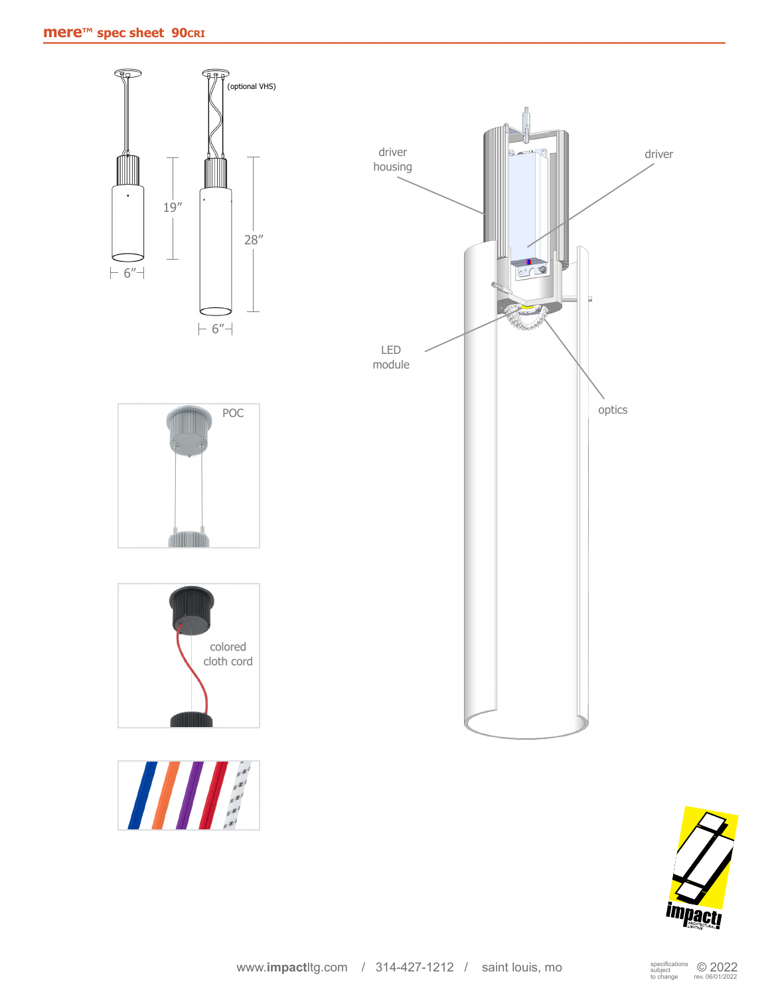

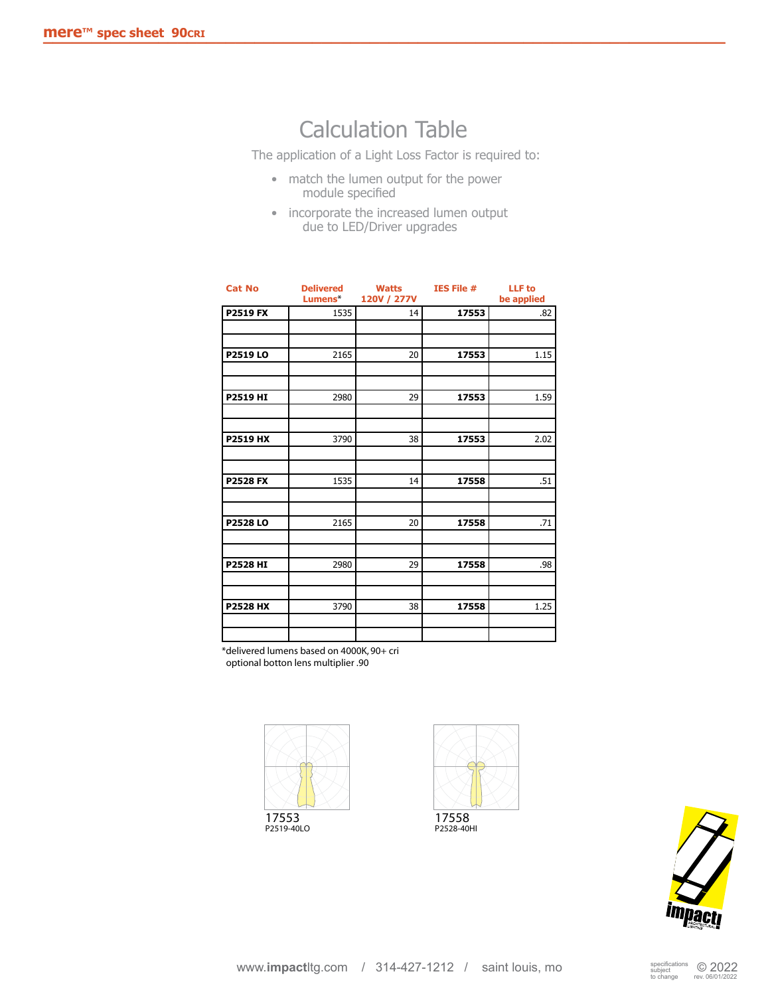# Calculation Table

The application of a Light Loss Factor is required to:

- match the lumen output for the power module specified
- incorporate the increased lumen output due to LED/Driver upgrades

| <b>Cat No</b>   | <b>Delivered</b> | Watts       | <b>IES File #</b> | <b>LLF</b> to |
|-----------------|------------------|-------------|-------------------|---------------|
|                 | Lumens*          | 120V / 277V |                   | be applied    |
| <b>P2519 FX</b> | 1535             | 14          | 17553             | .82           |
|                 |                  |             |                   |               |
|                 |                  |             |                   |               |
|                 |                  |             |                   |               |
| P2519 LO        | 2165             | 20          | 17553             | 1.15          |
|                 |                  |             |                   |               |
|                 |                  |             |                   |               |
| <b>P2519 HI</b> | 2980             | 29          | 17553             | 1.59          |
|                 |                  |             |                   |               |
|                 |                  |             |                   |               |
|                 |                  |             |                   |               |
| <b>P2519 HX</b> | 3790             | 38          | 17553             | 2.02          |
|                 |                  |             |                   |               |
|                 |                  |             |                   |               |
| <b>P2528 FX</b> | 1535             | 14          | 17558             | .51           |
|                 |                  |             |                   |               |
|                 |                  |             |                   |               |
|                 |                  |             |                   |               |
| <b>P2528LO</b>  | 2165             | 20          | 17558             | .71           |
|                 |                  |             |                   |               |
|                 |                  |             |                   |               |
| <b>P2528 HI</b> | 2980             | 29          | 17558             | .98           |
|                 |                  |             |                   |               |
|                 |                  |             |                   |               |
|                 |                  |             |                   |               |
| <b>P2528 HX</b> | 3790             | 38          | 17558             | 1.25          |
|                 |                  |             |                   |               |
|                 |                  |             |                   |               |
|                 |                  |             |                   |               |

\*delivered lumens based on 4000K, 90+ cri optional botton lens multiplier .90







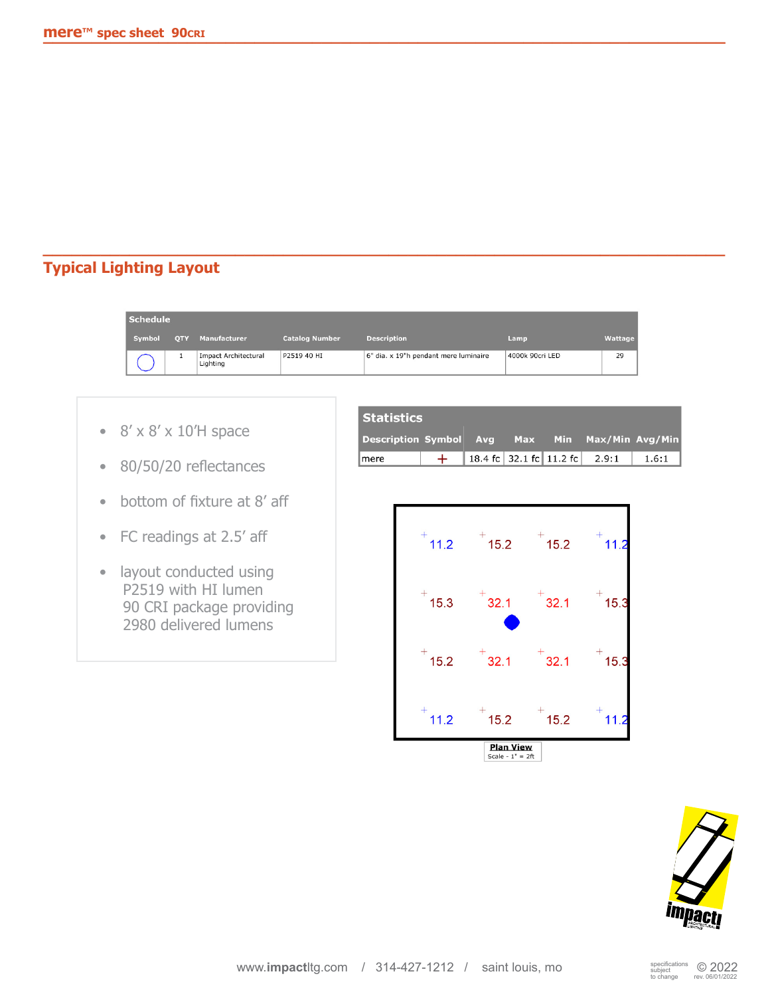# **Typical Lighting Layout**

| <b>Schedule</b> |            |                                         |                       |                                       |                 |         |
|-----------------|------------|-----------------------------------------|-----------------------|---------------------------------------|-----------------|---------|
| Symbol          | <b>OTY</b> | Manufacturer                            | <b>Catalog Number</b> | <b>Description</b>                    | Lamp            | Wattage |
|                 |            | <b>Impact Architectural</b><br>Lighting | P2519 40 HI           | 6" dia. x 19"h pendant mere luminaire | 4000k 90cri LED | 29      |

**\_\_\_\_\_\_\_\_\_\_\_\_\_\_\_\_\_\_\_\_\_\_\_\_\_\_\_\_\_\_\_\_\_\_\_\_\_\_\_\_\_\_\_\_\_\_\_\_\_\_\_\_\_\_\_\_\_\_\_\_\_\_\_\_\_\_\_\_\_\_\_**

- $8' \times 8' \times 10'$ H space
- 80/50/20 reflectances
- bottom of fixture at 8' aff
- FC readings at 2.5' aff
- layout conducted using P2519 with HI lumen 90 CRI package providing 2980 delivered lumens

| <b>Statistics</b>                              |  |                                     |  |  |  |       |
|------------------------------------------------|--|-------------------------------------|--|--|--|-------|
| Description Symbol Avg Max Min Max/Min Avg/Min |  |                                     |  |  |  |       |
| mere                                           |  | 18.4 fc   32.1 fc   11.2 fc   2.9:1 |  |  |  | 1.6:1 |